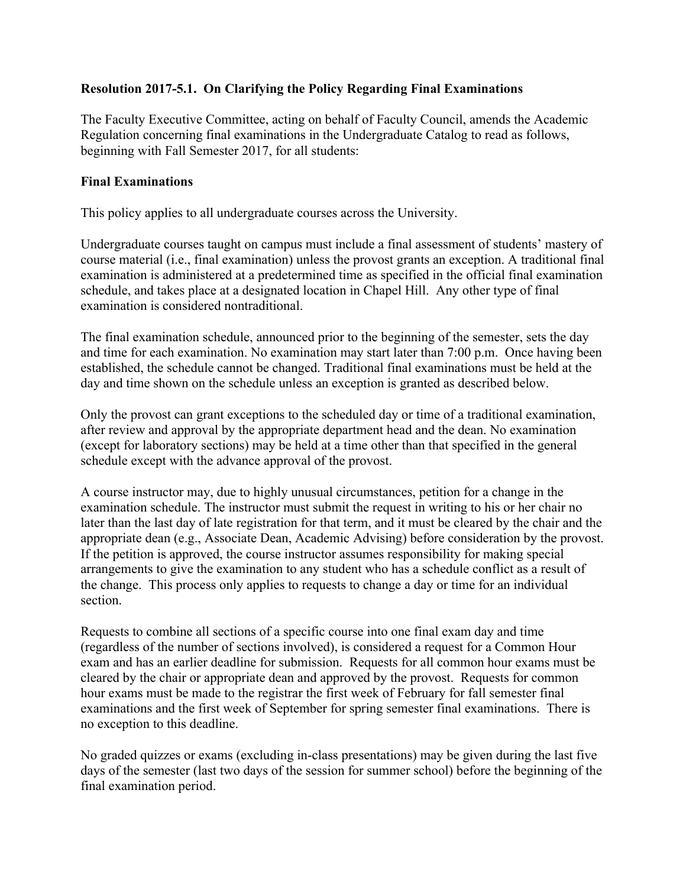## **Resolution 2017-5.1. On Clarifying the Policy Regarding Final Examinations**

The Faculty Executive Committee, acting on behalf of Faculty Council, amends the Academic Regulation concerning final examinations in the Undergraduate Catalog to read as follows, beginning with Fall Semester 2017, for all students:

## **Final Examinations**

This policy applies to all undergraduate courses across the University.

Undergraduate courses taught on campus must include a final assessment of students' mastery of course material (i.e., final examination) unless the provost grants an exception. A traditional final examination is administered at a predetermined time as specified in the official final examination schedule, and takes place at a designated location in Chapel Hill. Any other type of final examination is considered nontraditional.

The final examination schedule, announced prior to the beginning of the semester, sets the day and time for each examination. No examination may start later than 7:00 p.m. Once having been established, the schedule cannot be changed. Traditional final examinations must be held at the day and time shown on the schedule unless an exception is granted as described below.

Only the provost can grant exceptions to the scheduled day or time of a traditional examination, after review and approval by the appropriate department head and the dean. No examination (except for laboratory sections) may be held at a time other than that specified in the general schedule except with the advance approval of the provost.

A course instructor may, due to highly unusual circumstances, petition for a change in the examination schedule. The instructor must submit the request in writing to his or her chair no later than the last day of late registration for that term, and it must be cleared by the chair and the appropriate dean (e.g., Associate Dean, Academic Advising) before consideration by the provost. If the petition is approved, the course instructor assumes responsibility for making special arrangements to give the examination to any student who has a schedule conflict as a result of the change. This process only applies to requests to change a day or time for an individual section.

Requests to combine all sections of a specific course into one final exam day and time (regardless of the number of sections involved), is considered a request for a Common Hour exam and has an earlier deadline for submission. Requests for all common hour exams must be cleared by the chair or appropriate dean and approved by the provost. Requests for common hour exams must be made to the registrar the first week of February for fall semester final examinations and the first week of September for spring semester final examinations. There is no exception to this deadline.

No graded quizzes or exams (excluding in-class presentations) may be given during the last five days of the semester (last two days of the session for summer school) before the beginning of the final examination period.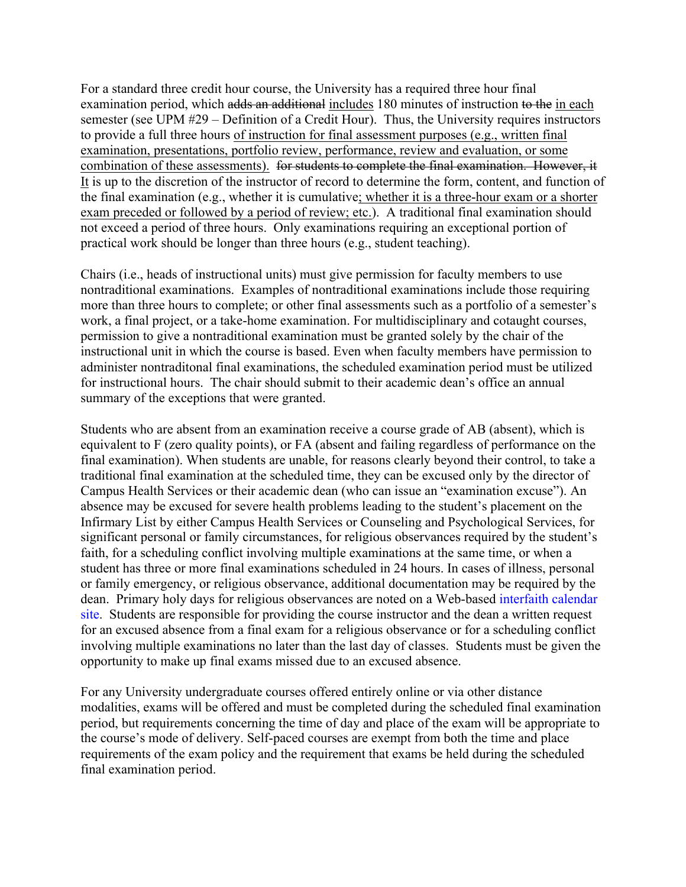For a standard three credit hour course, the University has a required three hour final examination period, which adds an additional includes 180 minutes of instruction to the in each semester (see UPM #29 – Definition of a Credit Hour). Thus, the University requires instructors to provide a full three hours of instruction for final assessment purposes (e.g., written final examination, presentations, portfolio review, performance, review and evaluation, or some combination of these assessments). for students to complete the final examination. However, it It is up to the discretion of the instructor of record to determine the form, content, and function of the final examination (e.g., whether it is cumulative; whether it is a three-hour exam or a shorter exam preceded or followed by a period of review; etc.). A traditional final examination should not exceed a period of three hours. Only examinations requiring an exceptional portion of practical work should be longer than three hours (e.g., student teaching).

Chairs (i.e., heads of instructional units) must give permission for faculty members to use nontraditional examinations. Examples of nontraditional examinations include those requiring more than three hours to complete; or other final assessments such as a portfolio of a semester's work, a final project, or a take-home examination. For multidisciplinary and cotaught courses, permission to give a nontraditional examination must be granted solely by the chair of the instructional unit in which the course is based. Even when faculty members have permission to administer nontraditonal final examinations, the scheduled examination period must be utilized for instructional hours. The chair should submit to their academic dean's office an annual summary of the exceptions that were granted.

Students who are absent from an examination receive a course grade of AB (absent), which is equivalent to F (zero quality points), or FA (absent and failing regardless of performance on the final examination). When students are unable, for reasons clearly beyond their control, to take a traditional final examination at the scheduled time, they can be excused only by the director of Campus Health Services or their academic dean (who can issue an "examination excuse"). An absence may be excused for severe health problems leading to the student's placement on the Infirmary List by either Campus Health Services or Counseling and Psychological Services, for significant personal or family circumstances, for religious observances required by the student's faith, for a scheduling conflict involving multiple examinations at the same time, or when a student has three or more final examinations scheduled in 24 hours. In cases of illness, personal or family emergency, or religious observance, additional documentation may be required by the dean. Primary holy days for religious observances are noted on a Web-based interfaith calendar site. Students are responsible for providing the course instructor and the dean a written request for an excused absence from a final exam for a religious observance or for a scheduling conflict involving multiple examinations no later than the last day of classes. Students must be given the opportunity to make up final exams missed due to an excused absence.

For any University undergraduate courses offered entirely online or via other distance modalities, exams will be offered and must be completed during the scheduled final examination period, but requirements concerning the time of day and place of the exam will be appropriate to the course's mode of delivery. Self-paced courses are exempt from both the time and place requirements of the exam policy and the requirement that exams be held during the scheduled final examination period.